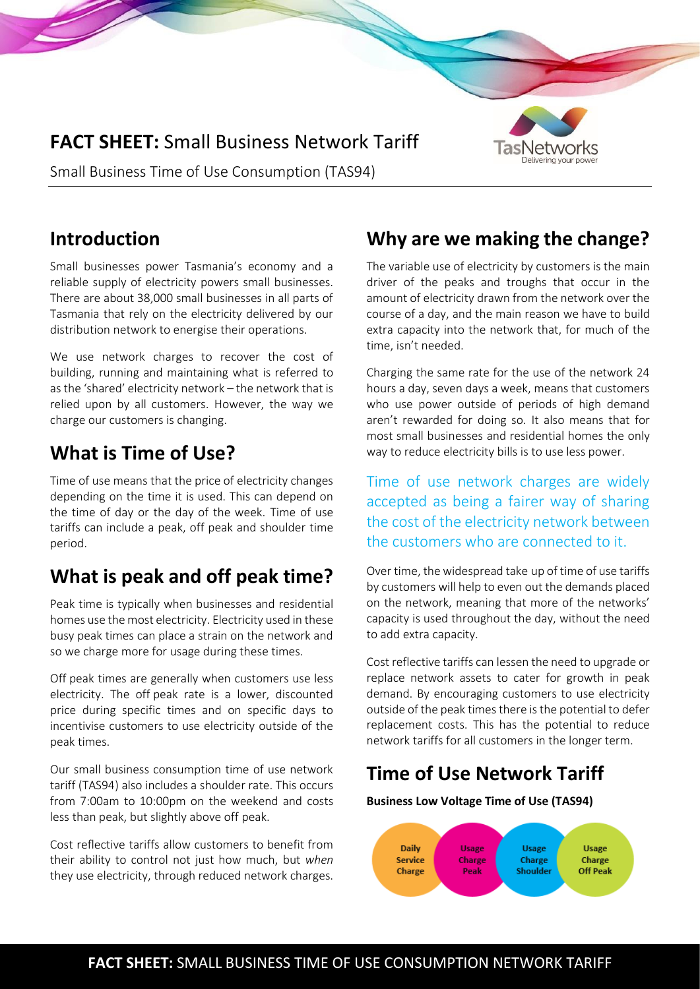# **FACT SHEET:** Small Business Network Tariff



Small Business Time of Use Consumption (TAS94)

#### **Introduction**

Small businesses power Tasmania's economy and a reliable supply of electricity powers small businesses. There are about 38,000 small businesses in all parts of Tasmania that rely on the electricity delivered by our distribution network to energise their operations.

We use network charges to recover the cost of building, running and maintaining what is referred to as the 'shared' electricity network – the network that is relied upon by all customers. However, the way we charge our customers is changing.

# **What is Time of Use?**

Time of use means that the price of electricity changes depending on the time it is used. This can depend on the time of day or the day of the week. Time of use tariffs can include a peak, off peak and shoulder time period.

# **What is peak and off peak time?**

Peak time is typically when businesses and residential homes use the most electricity. Electricity used in these busy peak times can place a strain on the network and so we charge more for usage during these times.

Off peak times are generally when customers use less electricity. The off peak rate is a lower, discounted price during specific times and on specific days to incentivise customers to use electricity outside of the peak times.

Our small business consumption time of use network tariff (TAS94) also includes a shoulder rate. This occurs from 7:00am to 10:00pm on the weekend and costs less than peak, but slightly above off peak.

Cost reflective tariffs allow customers to benefit from their ability to control not just how much, but *when* they use electricity, through reduced network charges.

## **Why are we making the change?**

The variable use of electricity by customers is the main driver of the peaks and troughs that occur in the amount of electricity drawn from the network over the course of a day, and the main reason we have to build extra capacity into the network that, for much of the time, isn't needed.

Charging the same rate for the use of the network 24 hours a day, seven days a week, means that customers who use power outside of periods of high demand aren't rewarded for doing so. It also means that for most small businesses and residential homes the only way to reduce electricity bills is to use less power.

Time of use network charges are widely accepted as being a fairer way of sharing the cost of the electricity network between the customers who are connected to it.

Over time, the widespread take up of time of use tariffs by customers will help to even out the demands placed on the network, meaning that more of the networks' capacity is used throughout the day, without the need to add extra capacity.

Cost reflective tariffs can lessen the need to upgrade or replace network assets to cater for growth in peak demand. By encouraging customers to use electricity outside of the peak times there is the potential to defer replacement costs. This has the potential to reduce network tariffs for all customers in the longer term.

## **Time of Use Network Tariff**

**Business Low Voltage Time of Use (TAS94)**